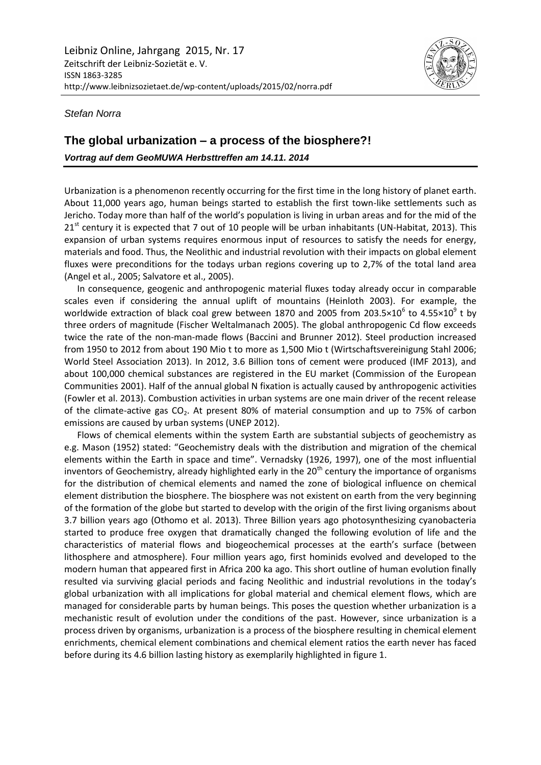

*Stefan Norra*

## **The global urbanization – a process of the biosphere?!**

*Vortrag auf dem GeoMUWA Herbsttreffen am 14.11. 2014*

Urbanization is a phenomenon recently occurring for the first time in the long history of planet earth. About 11,000 years ago, human beings started to establish the first town-like settlements such as Jericho. Today more than half of the world's population is living in urban areas and for the mid of the  $21<sup>st</sup>$  century it is expected that 7 out of 10 people will be urban inhabitants (UN-Habitat, 2013). This expansion of urban systems requires enormous input of resources to satisfy the needs for energy, materials and food. Thus, the Neolithic and industrial revolution with their impacts on global element fluxes were preconditions for the todays urban regions covering up to 2,7% of the total land area (Angel et al., 2005; Salvatore et al., 2005).

In consequence, geogenic and anthropogenic material fluxes today already occur in comparable scales even if considering the annual uplift of mountains (Heinloth 2003). For example, the worldwide extraction of black coal grew between 1870 and 2005 from 203.5×10<sup>6</sup> to 4.55×10<sup>9</sup> t by three orders of magnitude (Fischer Weltalmanach 2005). The global anthropogenic Cd flow exceeds twice the rate of the non-man-made flows (Baccini and Brunner 2012). Steel production increased from 1950 to 2012 from about 190 Mio t to more as 1,500 Mio t (Wirtschaftsvereinigung Stahl 2006; World Steel Association 2013). In 2012, 3.6 Billion tons of cement were produced (IMF 2013), and about 100,000 chemical substances are registered in the EU market (Commission of the European Communities 2001). Half of the annual global N fixation is actually caused by anthropogenic activities (Fowler et al. 2013). Combustion activities in urban systems are one main driver of the recent release of the climate-active gas CO2. At present 80% of material consumption and up to 75% of carbon emissions are caused by urban systems (UNEP 2012).

Flows of chemical elements within the system Earth are substantial subjects of geochemistry as e.g. Mason (1952) stated: "Geochemistry deals with the distribution and migration of the chemical elements within the Earth in space and time". Vernadsky (1926, 1997), one of the most influential inventors of Geochemistry, already highlighted early in the 20<sup>th</sup> century the importance of organisms for the distribution of chemical elements and named the zone of biological influence on chemical element distribution the biosphere. The biosphere was not existent on earth from the very beginning of the formation of the globe but started to develop with the origin of the first living organisms about 3.7 billion years ago (Othomo et al. 2013). Three Billion years ago photosynthesizing cyanobacteria started to produce free oxygen that dramatically changed the following evolution of life and the characteristics of material flows and biogeochemical processes at the earth's surface (between lithosphere and atmosphere). Four million years ago, first hominids evolved and developed to the modern human that appeared first in Africa 200 ka ago. This short outline of human evolution finally resulted via surviving glacial periods and facing Neolithic and industrial revolutions in the today's global urbanization with all implications for global material and chemical element flows, which are managed for considerable parts by human beings. This poses the question whether urbanization is a mechanistic result of evolution under the conditions of the past. However, since urbanization is a process driven by organisms, urbanization is a process of the biosphere resulting in chemical element enrichments, chemical element combinations and chemical element ratios the earth never has faced before during its 4.6 billion lasting history as exemplarily highlighted in figure 1.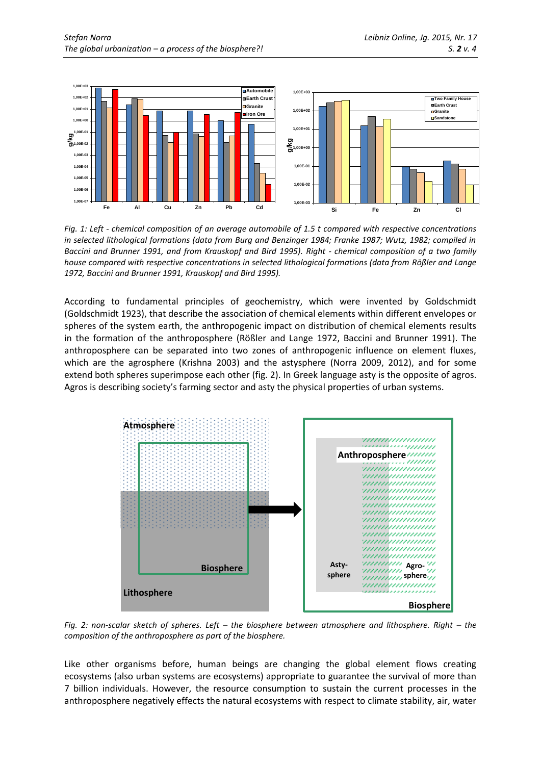

*Fig. 1: Left - chemical composition of an average automobile of 1.5 t compared with respective concentrations in selected lithological formations (data from Burg and Benzinger 1984; Franke 1987; Wutz, 1982; compiled in Baccini and Brunner 1991, and from Krauskopf and Bird 1995). Right - chemical composition of a two family house compared with respective concentrations in selected lithological formations (data from Rößler and Lange 1972, Baccini and Brunner 1991, Krauskopf and Bird 1995).*

According to fundamental principles of geochemistry, which were invented by Goldschmidt (Goldschmidt 1923), that describe the association of chemical elements within different envelopes or spheres of the system earth, the anthropogenic impact on distribution of chemical elements results in the formation of the anthroposphere (Rößler and Lange 1972, Baccini and Brunner 1991). The anthroposphere can be separated into two zones of anthropogenic influence on element fluxes, which are the agrosphere (Krishna 2003) and the astysphere (Norra 2009, 2012), and for some extend both spheres superimpose each other (fig. 2). In Greek language asty is the opposite of agros. Agros is describing society's farming sector and asty the physical properties of urban systems.



*Fig. 2: non-scalar sketch of spheres. Left – the biosphere between atmosphere and lithosphere. Right – the composition of the anthroposphere as part of the biosphere.*

Like other organisms before, human beings are changing the global element flows creating ecosystems (also urban systems are ecosystems) appropriate to guarantee the survival of more than 7 billion individuals. However, the resource consumption to sustain the current processes in the anthroposphere negatively effects the natural ecosystems with respect to climate stability, air, water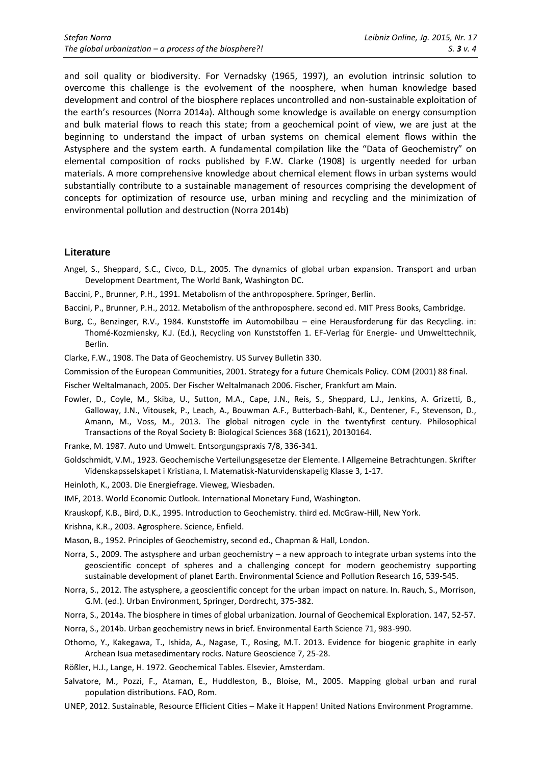and soil quality or biodiversity. For Vernadsky (1965, 1997), an evolution intrinsic solution to overcome this challenge is the evolvement of the noosphere, when human knowledge based development and control of the biosphere replaces uncontrolled and non-sustainable exploitation of the earth's resources (Norra 2014a). Although some knowledge is available on energy consumption and bulk material flows to reach this state; from a geochemical point of view, we are just at the beginning to understand the impact of urban systems on chemical element flows within the Astysphere and the system earth. A fundamental compilation like the "Data of Geochemistry" on elemental composition of rocks published by F.W. Clarke (1908) is urgently needed for urban materials. A more comprehensive knowledge about chemical element flows in urban systems would substantially contribute to a sustainable management of resources comprising the development of concepts for optimization of resource use, urban mining and recycling and the minimization of environmental pollution and destruction (Norra 2014b)

## **Literature**

Angel, S., Sheppard, S.C., Civco, D.L., 2005. The dynamics of global urban expansion. Transport and urban Development Deartment, The World Bank, Washington DC.

Baccini, P., Brunner, P.H., 1991. Metabolism of the anthroposphere. Springer, Berlin.

Baccini, P., Brunner, P.H., 2012. Metabolism of the anthroposphere. second ed. MIT Press Books, Cambridge.

Burg, C., Benzinger, R.V., 1984. Kunststoffe im Automobilbau – eine Herausforderung für das Recycling. in: Thomé-Kozmiensky, K.J. (Ed.), Recycling von Kunststoffen 1. EF-Verlag für Energie- und Umwelttechnik, Berlin.

Clarke, F.W., 1908. The Data of Geochemistry. US Survey Bulletin 330.

Commission of the European Communities, 2001. Strategy for a future Chemicals Policy. COM (2001) 88 final.

Fischer Weltalmanach, 2005. Der Fischer Weltalmanach 2006. Fischer, Frankfurt am Main.

- Fowler, D., Coyle, M., Skiba, U., Sutton, M.A., Cape, J.N., Reis, S., Sheppard, L.J., Jenkins, A. Grizetti, B., Galloway, J.N., Vitousek, P., Leach, A., Bouwman A.F., Butterbach-Bahl, K., Dentener, F., Stevenson, D., Amann, M., Voss, M., 2013. The global nitrogen cycle in the twentyfirst century. Philosophical Transactions of the Royal Society B: Biological Sciences 368 (1621), 20130164.
- Franke, M. 1987. Auto und Umwelt. Entsorgungspraxis 7/8, 336-341.
- Goldschmidt, V.M., 1923. Geochemische Verteilungsgesetze der Elemente. I Allgemeine Betrachtungen. Skrifter Videnskapsselskapet i Kristiana, I. Matematisk-Naturvidenskapelig Klasse 3, 1-17.
- Heinloth, K., 2003. Die Energiefrage. Vieweg, Wiesbaden.
- IMF, 2013. World Economic Outlook. International Monetary Fund, Washington.
- Krauskopf, K.B., Bird, D.K., 1995. Introduction to Geochemistry. third ed. McGraw-Hill, New York.
- Krishna, K.R., 2003. Agrosphere. Science, Enfield.
- Mason, B., 1952. Principles of Geochemistry, second ed., Chapman & Hall, London.
- Norra, S., 2009. The astysphere and urban geochemistry a new approach to integrate urban systems into the geoscientific concept of spheres and a challenging concept for modern geochemistry supporting sustainable development of planet Earth. Environmental Science and Pollution Research 16, 539-545.
- Norra, S., 2012. The astysphere, a geoscientific concept for the urban impact on nature. In. Rauch, S., Morrison, G.M. (ed.). Urban Environment, Springer, Dordrecht, 375-382.
- Norra, S., 2014a. The biosphere in times of global urbanization. Journal of Geochemical Exploration. 147, 52-57.
- Norra, S., 2014b. Urban geochemistry news in brief. Environmental Earth Science 71, 983-990.
- Othomo, Y., Kakegawa, T., Ishida, A., Nagase, T., Rosing, M.T. 2013. Evidence for biogenic graphite in early Archean Isua metasedimentary rocks. Nature Geoscience 7, 25-28.
- Rößler, H.J., Lange, H. 1972. Geochemical Tables. Elsevier, Amsterdam.
- Salvatore, M., Pozzi, F., Ataman, E., Huddleston, B., Bloise, M., 2005. Mapping global urban and rural population distributions. FAO, Rom.
- UNEP, 2012. Sustainable, Resource Efficient Cities Make it Happen! United Nations Environment Programme.